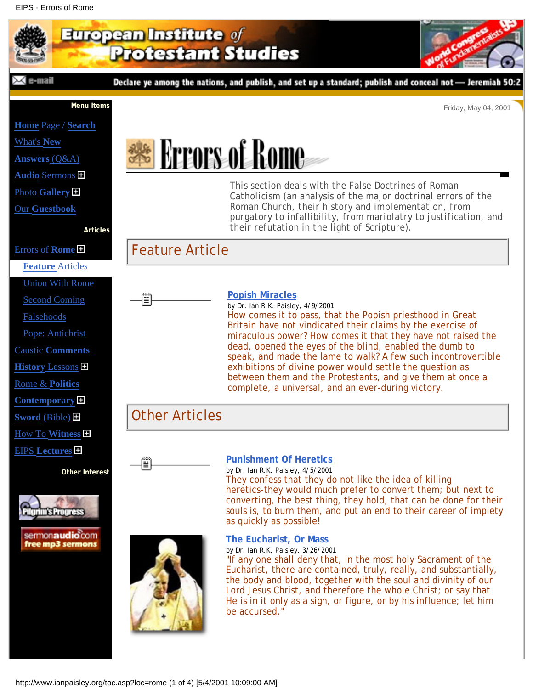## EIPS - Errors of Rome



http://www.ianpaisley.org/toc.asp?loc=rome (1 of 4) [5/4/2001 10:09:00 AM]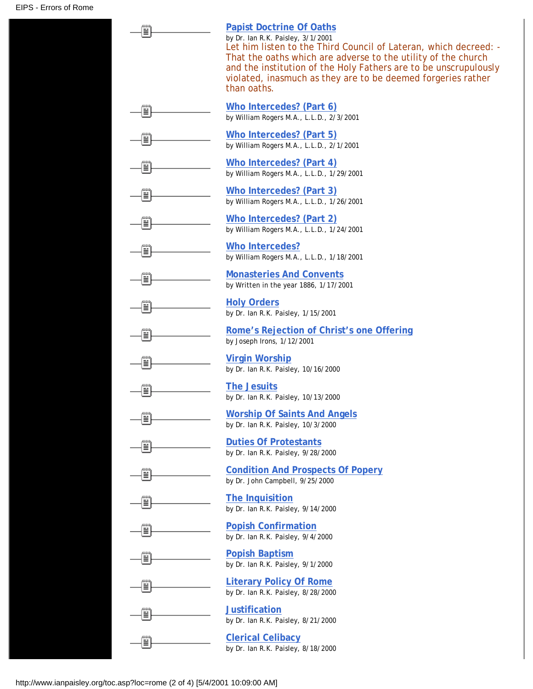|    | <b>Papist Doctrine Of Oaths</b><br>by Dr. Ian R.K. Paisley, 3/1/2001<br>Let him listen to the Third Council of Lateran, which decreed: -<br>That the oaths which are adverse to the utility of the church<br>and the institution of the Holy Fathers are to be unscrupulously<br>violated, inasmuch as they are to be deemed forgeries rather<br>than oaths. |
|----|--------------------------------------------------------------------------------------------------------------------------------------------------------------------------------------------------------------------------------------------------------------------------------------------------------------------------------------------------------------|
| ▒  | Who Intercedes? (Part 6)<br>by William Rogers M.A., L.L.D., 2/3/2001                                                                                                                                                                                                                                                                                         |
| ≝  | Who Intercedes? (Part 5)<br>by William Rogers M.A., L.L.D., 2/1/2001                                                                                                                                                                                                                                                                                         |
| 릨  | Who Intercedes? (Part 4)<br>by William Rogers M.A., L.L.D., 1/29/2001                                                                                                                                                                                                                                                                                        |
| ≣  | Who Intercedes? (Part 3)<br>by William Rogers M.A., L.L.D., 1/26/2001                                                                                                                                                                                                                                                                                        |
| Ë  | Who Intercedes? (Part 2)<br>by William Rogers M.A., L.L.D., 1/24/2001                                                                                                                                                                                                                                                                                        |
| ▦  | <b>Who Intercedes?</b><br>by William Rogers M.A., L.L.D., 1/18/2001                                                                                                                                                                                                                                                                                          |
| ≣  | <b>Monasteries And Convents</b><br>by Written in the year 1886, 1/17/2001                                                                                                                                                                                                                                                                                    |
| ≣∣ | <b>Holy Orders</b><br>by Dr. Ian R.K. Paisley, 1/15/2001                                                                                                                                                                                                                                                                                                     |
| Ë  | Rome's Rejection of Christ's one Offering<br>by Joseph Irons, 1/12/2001                                                                                                                                                                                                                                                                                      |
| ≣∣ | <b>Virgin Worship</b><br>by Dr. Ian R.K. Paisley, 10/16/2000                                                                                                                                                                                                                                                                                                 |
|    | <b>The Jesuits</b><br>by Dr. Ian R.K. Paisley, 10/13/2000                                                                                                                                                                                                                                                                                                    |
| Ë  | <b>Worship Of Saints And Angels</b><br>by Dr. Ian R.K. Paisley, 10/3/2000                                                                                                                                                                                                                                                                                    |
| ▒  | <b>Duties Of Protestants</b><br>by Dr. Ian R.K. Paisley, 9/28/2000                                                                                                                                                                                                                                                                                           |
| 틬  | <b>Condition And Prospects Of Popery</b><br>by Dr. John Campbell, 9/25/2000                                                                                                                                                                                                                                                                                  |
| Ë  | The Inquisition<br>by Dr. Ian R.K. Paisley, 9/14/2000                                                                                                                                                                                                                                                                                                        |
| ≝  | <b>Popish Confirmation</b><br>by Dr. Ian R.K. Paisley, 9/4/2000                                                                                                                                                                                                                                                                                              |
| 릨  | <b>Popish Baptism</b><br>by Dr. Ian R.K. Paisley, 9/1/2000                                                                                                                                                                                                                                                                                                   |
| Ë  | <b>Literary Policy Of Rome</b><br>by Dr. Ian R.K. Paisley, 8/28/2000                                                                                                                                                                                                                                                                                         |
| ≣  | <b>Justification</b><br>by Dr. Ian R.K. Paisley, 8/21/2000                                                                                                                                                                                                                                                                                                   |
|    | <b>Clerical Celibacy</b><br>by Dr. Ian R.K. Paisley, 8/18/2000                                                                                                                                                                                                                                                                                               |
|    |                                                                                                                                                                                                                                                                                                                                                              |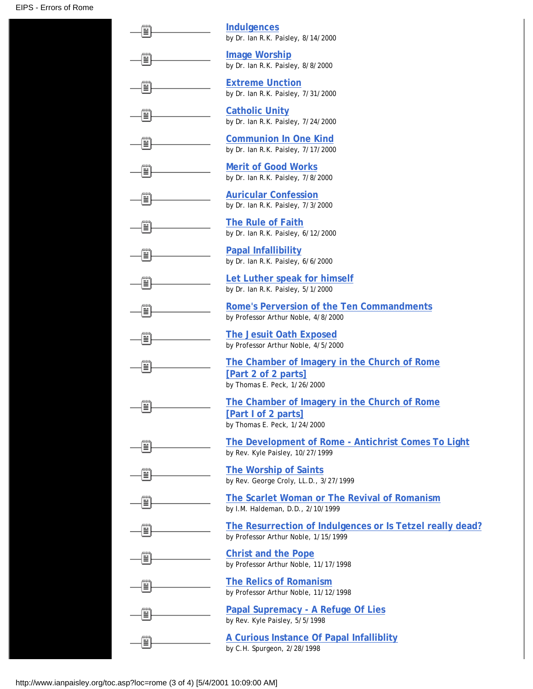| Ĩ  | <b>Indulgences</b><br>by Dr. Ian R.K. Paisley, 8/14/2000                                            |
|----|-----------------------------------------------------------------------------------------------------|
| Ë  | <b>Image Worship</b><br>by Dr. Ian R.K. Paisley, 8/8/2000                                           |
| ≝  | <b>Extreme Unction</b><br>by Dr. Ian R.K. Paisley, 7/31/2000                                        |
| 띜  | <b>Catholic Unity</b><br>by Dr. Ian R.K. Paisley, 7/24/2000                                         |
| Ë  | <b>Communion In One Kind</b><br>by Dr. Ian R.K. Paisley, 7/17/2000                                  |
| 띜  | <b>Merit of Good Works</b><br>by Dr. Ian R.K. Paisley, 7/8/2000                                     |
| ≣  | <b>Auricular Confession</b><br>by Dr. Ian R.K. Paisley, 7/3/2000                                    |
| Ë  | <b>The Rule of Faith</b><br>by Dr. Ian R.K. Paisley, 6/12/2000                                      |
| 띜  | <b>Papal Infallibility</b><br>by Dr. Ian R.K. Paisley, 6/6/2000                                     |
| Ë  | Let Luther speak for himself<br>by Dr. Ian R.K. Paisley, 5/1/2000                                   |
| Ë  | <b>Rome's Perversion of the Ten Commandments</b><br>by Professor Arthur Noble, 4/8/2000             |
| ≣  | <b>The Jesuit Oath Exposed</b><br>by Professor Arthur Noble, 4/5/2000                               |
| Ë  | The Chamber of Imagery in the Church of Rome<br>[Part 2 of 2 parts]<br>by Thomas E. Peck, 1/26/2000 |
| Ë  | The Chamber of Imagery in the Church of Rome<br>[Part I of 2 parts]<br>by Thomas E. Peck, 1/24/2000 |
| Ĩ  | The Development of Rome - Antichrist Comes To Light<br>by Rev. Kyle Paisley, 10/27/1999             |
| ≣  | <b>The Worship of Saints</b><br>by Rev. George Croly, LL.D., 3/27/1999                              |
| ≣  | The Scarlet Woman or The Revival of Romanism<br>by I.M. Haldeman, D.D., 2/10/1999                   |
| ≝  | The Resurrection of Indulgences or Is Tetzel really dead?<br>by Professor Arthur Noble, 1/15/1999   |
| 띜  | <b>Christ and the Pope</b><br>by Professor Arthur Noble, 11/17/1998                                 |
| ≣  | <b>The Relics of Romanism</b><br>by Professor Arthur Noble, 11/12/1998                              |
| ≣∣ | <b>Papal Supremacy - A Refuge Of Lies</b><br>by Rev. Kyle Paisley, 5/5/1998                         |
|    | A Curious Instance Of Papal Infalliblity<br>by C.H. Spurgeon, 2/28/1998                             |
|    |                                                                                                     |